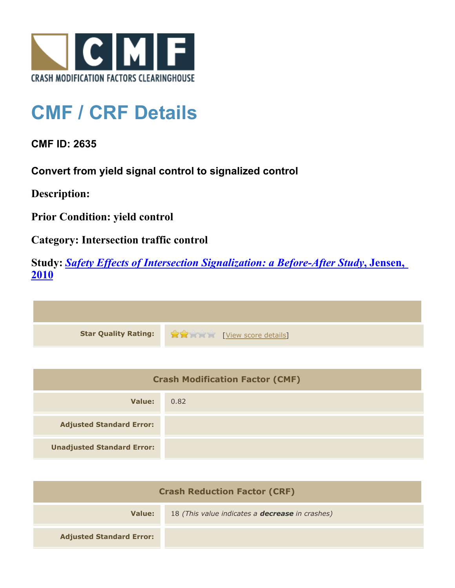

## **CMF / CRF Details**

**CMF ID: 2635**

**Convert from yield signal control to signalized control**

**Description:** 

**Prior Condition: yield control**

**Category: Intersection traffic control**

**Study:** *[Safety Effects of Intersection Signalization: a Before-After Study](http://www.cmfclearinghouse.org/study_detail.cfm?stid=170)***[, Jensen,](http://www.cmfclearinghouse.org/study_detail.cfm?stid=170) [2010](http://www.cmfclearinghouse.org/study_detail.cfm?stid=170)**



| <b>Crash Modification Factor (CMF)</b> |      |
|----------------------------------------|------|
| Value:                                 | 0.82 |
| <b>Adjusted Standard Error:</b>        |      |
| <b>Unadjusted Standard Error:</b>      |      |

| <b>Crash Reduction Factor (CRF)</b> |                                                        |
|-------------------------------------|--------------------------------------------------------|
| Value:                              | 18 (This value indicates a <b>decrease</b> in crashes) |
| <b>Adjusted Standard Error:</b>     |                                                        |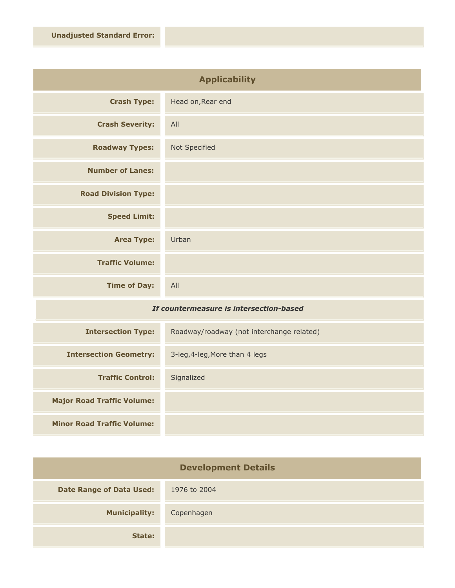| <b>Applicability</b>       |                   |
|----------------------------|-------------------|
| <b>Crash Type:</b>         | Head on, Rear end |
| <b>Crash Severity:</b>     | All               |
| <b>Roadway Types:</b>      | Not Specified     |
| <b>Number of Lanes:</b>    |                   |
| <b>Road Division Type:</b> |                   |
| <b>Speed Limit:</b>        |                   |
| <b>Area Type:</b>          | Urban             |
| <b>Traffic Volume:</b>     |                   |
| <b>Time of Day:</b>        | All               |

## *If countermeasure is intersection-based*

| <b>Intersection Type:</b>         | Roadway/roadway (not interchange related) |
|-----------------------------------|-------------------------------------------|
| <b>Intersection Geometry:</b>     | 3-leg, 4-leg, More than 4 legs            |
| <b>Traffic Control:</b>           | Signalized                                |
| <b>Major Road Traffic Volume:</b> |                                           |
| <b>Minor Road Traffic Volume:</b> |                                           |

| <b>Development Details</b>      |              |
|---------------------------------|--------------|
| <b>Date Range of Data Used:</b> | 1976 to 2004 |
| <b>Municipality:</b>            | Copenhagen   |
| State:                          |              |